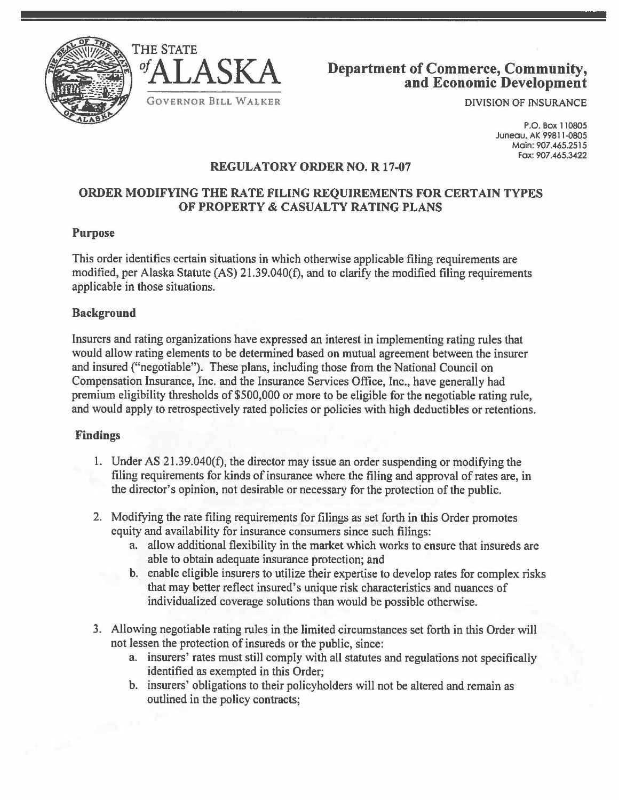





DIVISION OF INSURANCE

P.O. Box 110805 Juneau, AK 99811-0805 Main: 907.465.2515 Fax: 907.465.3422

# **REGULATORY ORDER NO. R 17-07**

### **ORDER MODIFYING THE RA TE FILING REQUIREMENTS FOR CERTAIN TYPES OF PROPERTY & CASUALTY RATING PLANS**

#### **Purpose**

This order identifies certain situations in which otherwise applicable filing requirements are modified, per Alaska Statute {AS) 21.39.040(f), and to clarify the modified filing requirements applicable in those situations.

### **Background**

Insurers and rating organizations have expressed an interest in implementing rating rules that would allow rating elements to be determined based on mutual agreement between the insurer and insured ("negotiable"). These plans, including those from the National Council on Compensation Insurance, Inc. and the Insurance Services Office, Inc., have generally had premium eligibility thresholds of \$500,000 or more to be eligible for the negotiable rating rule, and would apply to retrospectively rated policies or policies with high deductibles or retentions.

### **Findings**

- 1. Under AS 21.39.040(f), the director may issue an order suspending or modifying the filing requirements for kinds of insurance where the filing and approval of rates are, in the director's opinion, not desirable or necessary for the protection of the public.
- 2. Modifying the rate filing requirements for filings as set forth in this Order promotes equity and availability for insurance consumers since such filings:
	- a. allow additional flexibility in the market which works to ensure that insureds are able to obtain adequate insurance protection; and
	- b. enable eligible insurers to utilize their expertise to develop rates for complex risks that may better reflect insured's unique risk characteristics and nuances of individualized coverage solutions than would be possible otherwise.
- 3. Allowing negotiable rating rules in the limited circumstances set forth in this Order will not lessen the protection of insureds or the public, since:
	- a. insurers' rates must still comply with all statutes and regulations not specifically identified as exempted in this Order;
	- b. insurers' obligations to their policyholders will not be altered and remain as outlined in the policy contracts;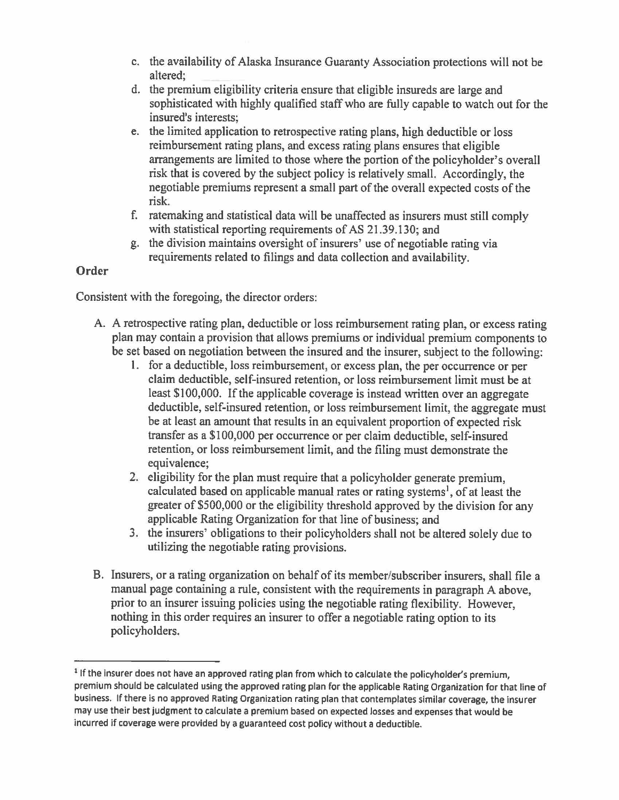- c. the availability of Alaska Insurance Guaranty Association protections will not be altered;
- d. the premium eligibility criteria ensure that eligible insureds are large and sophisticated with highly qualified staff who are fully capable to watch out for the insured's interests;
- e. the limited application to retrospective rating plans, high deductible or loss reimbursement rating plans, and excess rating plans ensures that eligible arrangements are limited to those where the portion of the policyholder's overall risk that is covered by the subject policy is relatively small. Accordingly, the negotiable premiums represent a small part of the overall expected costs of the risk.
- f. ratemaking and statistical data will be unaffected as insurers must still comply with statistical reporting requirements of AS 21.39.130; and
- g. the division maintains oversight of insurers' use of negotiable rating via requirements related to filings and data collection and availability.

# **Order**

Consistent with the foregoing, the director orders:

- A. A retrospective rating plan, deductible or loss reimbursement rating plan, or excess rating plan may contain a provision that allows premiums or individual premium components to be set based on negotiation between the insured and the insurer, subject to the following:
	- 1. for a deductible, loss reimbursement, or excess plan, the per occurrence or per claim deductible, self-insured retention, or loss reimbursement limit must be at least \$100,000. If the applicable coverage is instead written over an aggregate deductible, self-insured retention, or loss reimbursement limit, the aggregate must be at least an amount that results in an equivalent proportion of expected risk transfer as a \$100,000 per occurrence or per claim deductible, self-insured retention, or loss reimbursement limit, and the filing must demonstrate the equivalence;
	- 2. eligibility for the plan must require that a policyholder generate premium, calculated based on applicable manual rates or rating systems<sup>1</sup>, of at least the greater of \$500,000 or the eligibility threshold approved by the division for any applicable Rating Organization for that line of business; and
	- 3. the insurers' obligations to their policyholders shall not be altered solely due to utilizing the negotiable rating provisions.
- B. Insurers, or a rating organization on behalf of its member/subscriber insurers, shall file a manual page containing a rule, consistent with the requirements in paragraph A above, prior to an insurer issuing policies using the negotiable rating flexibility. However, nothing in this order requires an insurer to offer a negotiable rating option to its policyholders.

<sup>&</sup>lt;sup>1</sup> If the insurer does not have an approved rating plan from which to calculate the policyholder's premium, premium should be calculated using the approved rating plan for the applicable Rating Organization for that line of business. If there is no approved Rating Organization rating plan that contemplates similar coverage, the insurer may use their best judgment to calculate a premium based on expected losses and expenses that would be incurred if coverage were provided by a guaranteed cost policy without a deductible.